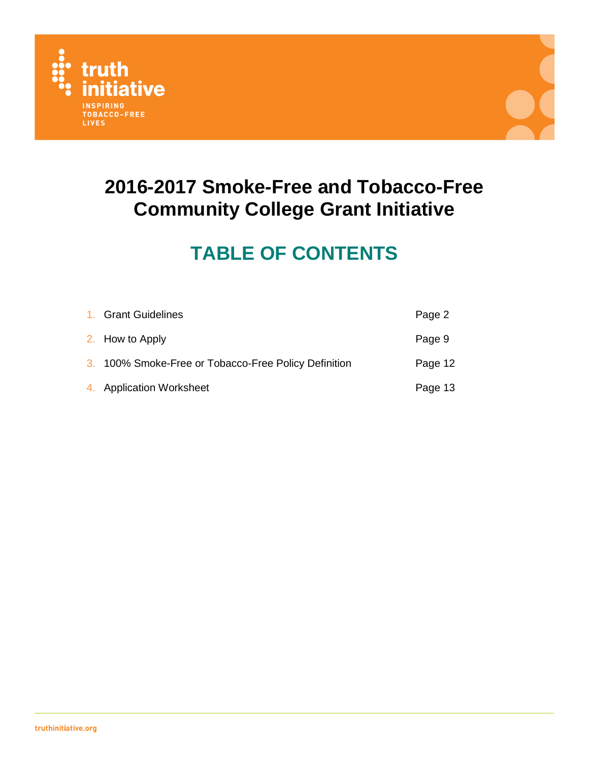



# **TABLE OF CONTENTS**

| 1. Grant Guidelines                                  | Page 2  |
|------------------------------------------------------|---------|
| 2. How to Apply                                      | Page 9  |
| 3. 100% Smoke-Free or Tobacco-Free Policy Definition | Page 12 |
| 4. Application Worksheet                             | Page 13 |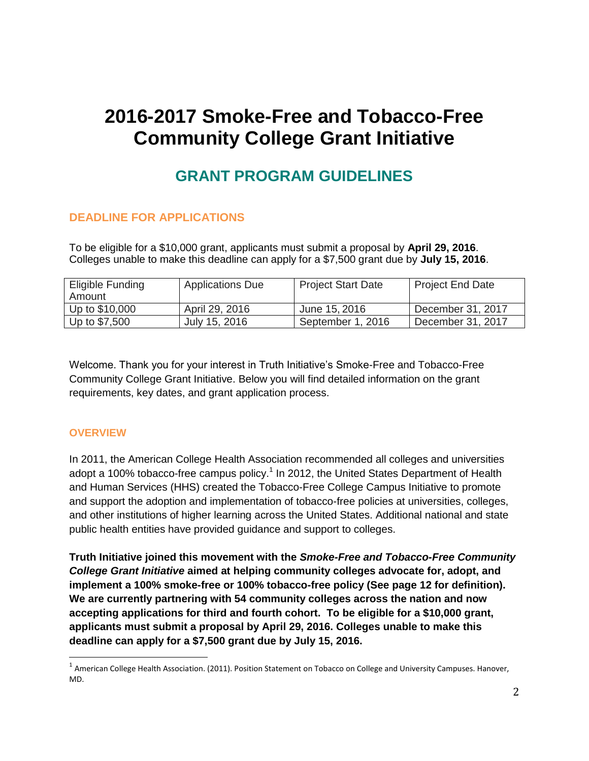# **GRANT PROGRAM GUIDELINES**

# **DEADLINE FOR APPLICATIONS**

To be eligible for a \$10,000 grant, applicants must submit a proposal by **April 29, 2016**. Colleges unable to make this deadline can apply for a \$7,500 grant due by **July 15, 2016**.

| Eligible Funding<br>Amount | <b>Applications Due</b> | <b>Project Start Date</b> | Project End Date  |
|----------------------------|-------------------------|---------------------------|-------------------|
| Up to \$10,000             | April 29, 2016          | June 15, 2016             | December 31, 2017 |
| Up to \$7,500              | July 15, 2016           | September 1, 2016         | December 31, 2017 |

Welcome. Thank you for your interest in Truth Initiative's Smoke-Free and Tobacco-Free Community College Grant Initiative. Below you will find detailed information on the grant requirements, key dates, and grant application process.

### **OVERVIEW**

 $\overline{\phantom{a}}$ 

In 2011, the American College Health Association recommended all colleges and universities adopt a 100% tobacco-free campus policy.<sup>1</sup> In 2012, the United States Department of Health and Human Services (HHS) created the Tobacco-Free College Campus Initiative to promote and support the adoption and implementation of tobacco-free policies at universities, colleges, and other institutions of higher learning across the United States. Additional national and state public health entities have provided guidance and support to colleges.

**Truth Initiative joined this movement with the** *Smoke-Free and Tobacco-Free Community College Grant Initiative* **aimed at helping community colleges advocate for, adopt, and implement a 100% smoke-free or 100% tobacco-free policy (See page 12 for definition). We are currently partnering with 54 community colleges across the nation and now accepting applications for third and fourth cohort. To be eligible for a \$10,000 grant, applicants must submit a proposal by April 29, 2016. Colleges unable to make this deadline can apply for a \$7,500 grant due by July 15, 2016.**

<sup>&</sup>lt;sup>1</sup> American College Health Association. (2011). Position Statement on Tobacco on College and University Campuses. Hanover, MD.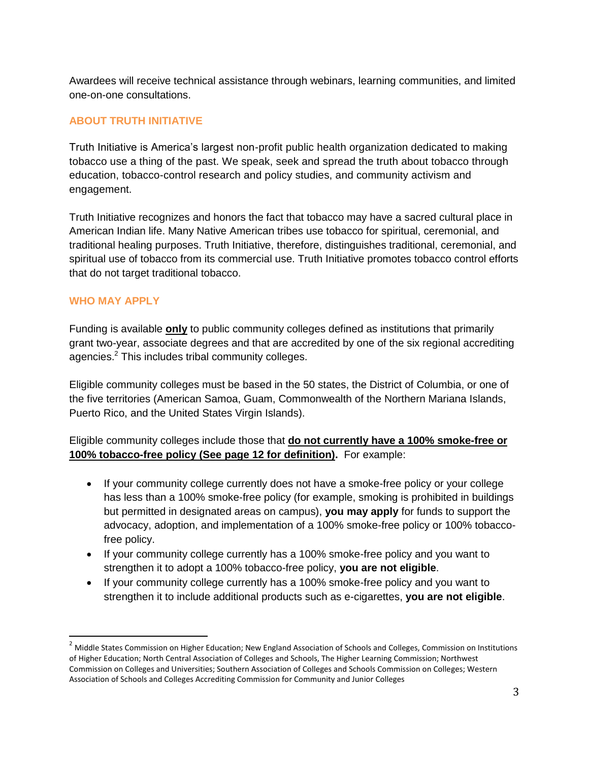Awardees will receive technical assistance through webinars, learning communities, and limited one-on-one consultations.

# **ABOUT TRUTH INITIATIVE**

Truth Initiative is America's largest non-profit public health organization dedicated to making tobacco use a thing of the past. We speak, seek and spread the truth about tobacco through education, tobacco-control research and policy studies, and community activism and engagement.

Truth Initiative recognizes and honors the fact that tobacco may have a sacred cultural place in American Indian life. Many Native American tribes use tobacco for spiritual, ceremonial, and traditional healing purposes. Truth Initiative, therefore, distinguishes traditional, ceremonial, and spiritual use of tobacco from its commercial use. Truth Initiative promotes tobacco control efforts that do not target traditional tobacco.

# **WHO MAY APPLY**

l

Funding is available **only** to public community colleges defined as institutions that primarily grant two-year, associate degrees and that are accredited by one of the six regional accrediting agencies.<sup>2</sup> This includes tribal community colleges.

Eligible community colleges must be based in the 50 states, the District of Columbia, or one of the five territories (American Samoa, Guam, Commonwealth of the Northern Mariana Islands, Puerto Rico, and the United States Virgin Islands).

# Eligible community colleges include those that **do not currently have a 100% smoke-free or 100% tobacco-free policy (See page 12 for definition).** For example:

- If your community college currently does not have a smoke-free policy or your college has less than a 100% smoke-free policy (for example, smoking is prohibited in buildings but permitted in designated areas on campus), **you may apply** for funds to support the advocacy, adoption, and implementation of a 100% smoke-free policy or 100% tobaccofree policy.
- If your community college currently has a 100% smoke-free policy and you want to strengthen it to adopt a 100% tobacco-free policy, **you are not eligible**.
- If your community college currently has a 100% smoke-free policy and you want to strengthen it to include additional products such as e-cigarettes, **you are not eligible**.

<sup>&</sup>lt;sup>2</sup> Middle States Commission on Higher Education; New England Association of Schools and Colleges, Commission on Institutions of Higher Education; North Central Association of Colleges and Schools, The Higher Learning Commission; Northwest Commission on Colleges and Universities; Southern Association of Colleges and Schools Commission on Colleges; Western Association of Schools and Colleges Accrediting Commission for Community and Junior Colleges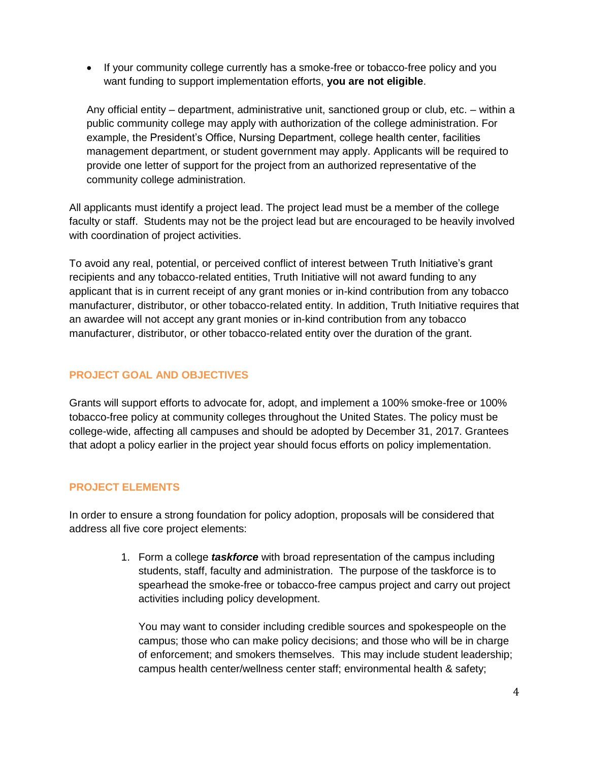• If your community college currently has a smoke-free or tobacco-free policy and you want funding to support implementation efforts, **you are not eligible**.

Any official entity – department, administrative unit, sanctioned group or club, etc. – within a public community college may apply with authorization of the college administration. For example, the President's Office, Nursing Department, college health center, facilities management department, or student government may apply. Applicants will be required to provide one letter of support for the project from an authorized representative of the community college administration.

All applicants must identify a project lead. The project lead must be a member of the college faculty or staff. Students may not be the project lead but are encouraged to be heavily involved with coordination of project activities.

To avoid any real, potential, or perceived conflict of interest between Truth Initiative's grant recipients and any tobacco-related entities, Truth Initiative will not award funding to any applicant that is in current receipt of any grant monies or in-kind contribution from any tobacco manufacturer, distributor, or other tobacco-related entity. In addition, Truth Initiative requires that an awardee will not accept any grant monies or in-kind contribution from any tobacco manufacturer, distributor, or other tobacco-related entity over the duration of the grant.

# **PROJECT GOAL AND OBJECTIVES**

Grants will support efforts to advocate for, adopt, and implement a 100% smoke-free or 100% tobacco-free policy at community colleges throughout the United States. The policy must be college-wide, affecting all campuses and should be adopted by December 31, 2017. Grantees that adopt a policy earlier in the project year should focus efforts on policy implementation.

# **PROJECT ELEMENTS**

In order to ensure a strong foundation for policy adoption, proposals will be considered that address all five core project elements:

> 1. Form a college *taskforce* with broad representation of the campus including students, staff, faculty and administration. The purpose of the taskforce is to spearhead the smoke-free or tobacco-free campus project and carry out project activities including policy development.

You may want to consider including credible sources and spokespeople on the campus; those who can make policy decisions; and those who will be in charge of enforcement; and smokers themselves. This may include student leadership; campus health center/wellness center staff; environmental health & safety;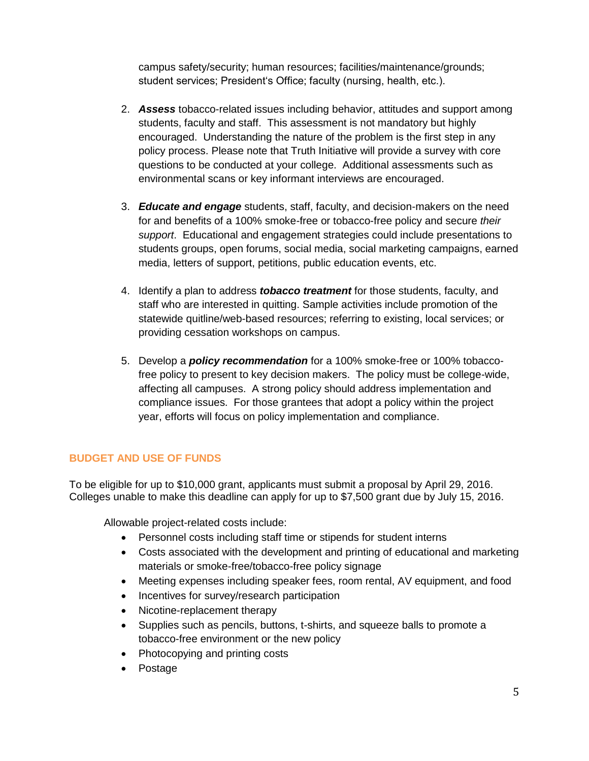campus safety/security; human resources; facilities/maintenance/grounds; student services; President's Office; faculty (nursing, health, etc.).

- 2. *Assess* tobacco-related issues including behavior, attitudes and support among students, faculty and staff. This assessment is not mandatory but highly encouraged. Understanding the nature of the problem is the first step in any policy process. Please note that Truth Initiative will provide a survey with core questions to be conducted at your college. Additional assessments such as environmental scans or key informant interviews are encouraged.
- 3. *Educate and engage* students, staff, faculty, and decision-makers on the need for and benefits of a 100% smoke-free or tobacco-free policy and secure *their support*. Educational and engagement strategies could include presentations to students groups, open forums, social media, social marketing campaigns, earned media, letters of support, petitions, public education events, etc.
- 4. Identify a plan to address *tobacco treatment* for those students, faculty, and staff who are interested in quitting. Sample activities include promotion of the statewide quitline/web-based resources; referring to existing, local services; or providing cessation workshops on campus.
- 5. Develop a *policy recommendation* for a 100% smoke-free or 100% tobaccofree policy to present to key decision makers. The policy must be college-wide, affecting all campuses. A strong policy should address implementation and compliance issues. For those grantees that adopt a policy within the project year, efforts will focus on policy implementation and compliance.

# **BUDGET AND USE OF FUNDS**

To be eligible for up to \$10,000 grant, applicants must submit a proposal by April 29, 2016. Colleges unable to make this deadline can apply for up to \$7,500 grant due by July 15, 2016.

Allowable project-related costs include:

- Personnel costs including staff time or stipends for student interns
- Costs associated with the development and printing of educational and marketing materials or smoke-free/tobacco-free policy signage
- Meeting expenses including speaker fees, room rental, AV equipment, and food
- Incentives for survey/research participation
- Nicotine-replacement therapy
- Supplies such as pencils, buttons, t-shirts, and squeeze balls to promote a tobacco-free environment or the new policy
- Photocopying and printing costs
- Postage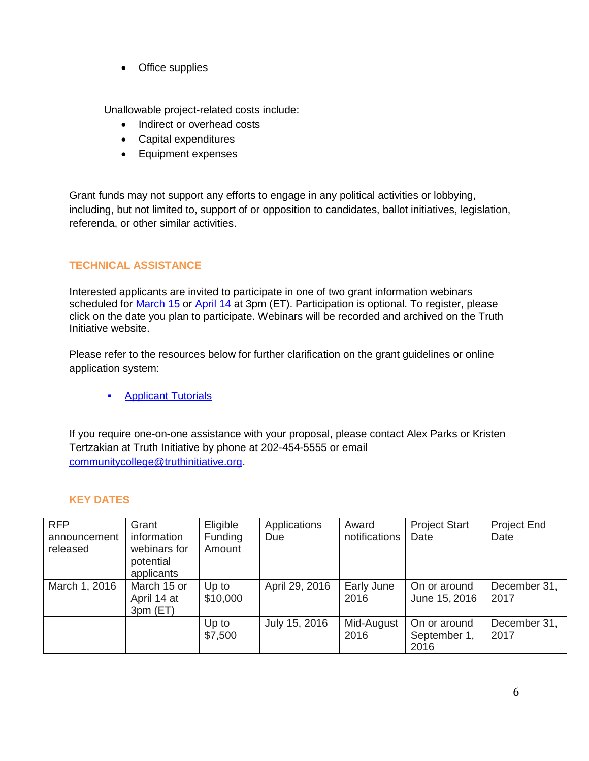• Office supplies

Unallowable project-related costs include:

- Indirect or overhead costs
- Capital expenditures
- Equipment expenses

Grant funds may not support any efforts to engage in any political activities or lobbying, including, but not limited to, support of or opposition to candidates, ballot initiatives, legislation, referenda, or other similar activities.

# **TECHNICAL ASSISTANCE**

Interested applicants are invited to participate in one of two grant information webinars scheduled for [March 15](http://events.constantcontact.com/register/event?llr=yszuvzcab&oeidk=a07eca9exdt21fb97fd) or [April 14](http://events.constantcontact.com/register/event?llr=yszuvzcab&oeidk=a07eca9mc6r3cc4c7f7) at 3pm (ET). Participation is optional. To register, please click on the date you plan to participate. Webinars will be recorded and archived on the Truth Initiative website.

Please refer to the resources below for further clarification on the grant guidelines or online application system:

**[Applicant Tutorials](https://community.foundant.com/foundant/topics/training_video_applicant_tutorials)** 

If you require one-on-one assistance with your proposal, please contact Alex Parks or Kristen Tertzakian at Truth Initiative by phone at 202-454-5555 or email [communitycollege@truthinitiative.org.](mailto:communitycollege@truthinitiative.org)

# **KEY DATES**

| <b>RFP</b>               | Grant                                  | Eligible                 | Applications   | Award              | <b>Project Start</b>                 | <b>Project End</b>   |
|--------------------------|----------------------------------------|--------------------------|----------------|--------------------|--------------------------------------|----------------------|
| announcement<br>released | information<br>webinars for            | <b>Funding</b><br>Amount | Due            | notifications      | Date                                 | Date                 |
|                          | potential<br>applicants                |                          |                |                    |                                      |                      |
| March 1, 2016            | March 15 or<br>April 14 at<br>3pm (ET) | Up to<br>\$10,000        | April 29, 2016 | Early June<br>2016 | On or around<br>June 15, 2016        | December 31,<br>2017 |
|                          |                                        | Up to<br>\$7,500         | July 15, 2016  | Mid-August<br>2016 | On or around<br>September 1,<br>2016 | December 31,<br>2017 |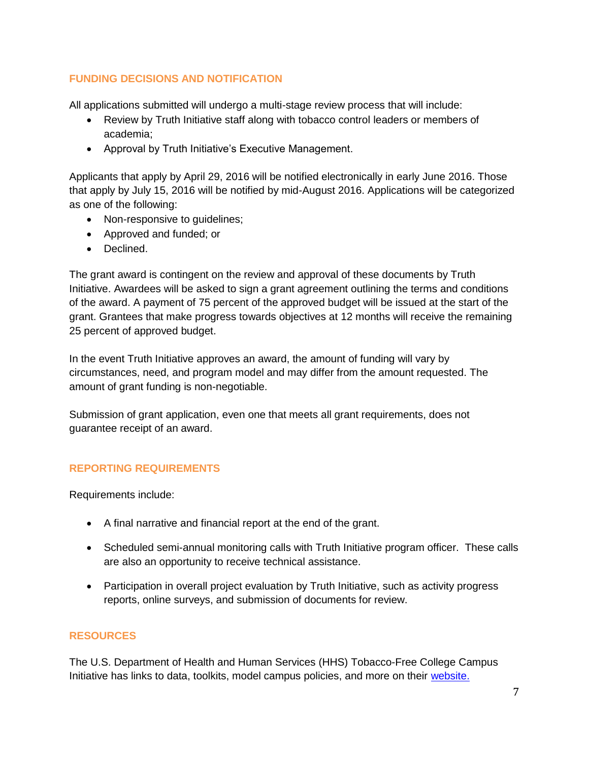# **FUNDING DECISIONS AND NOTIFICATION**

All applications submitted will undergo a multi-stage review process that will include:

- Review by Truth Initiative staff along with tobacco control leaders or members of academia;
- Approval by Truth Initiative's Executive Management.

Applicants that apply by April 29, 2016 will be notified electronically in early June 2016. Those that apply by July 15, 2016 will be notified by mid-August 2016. Applications will be categorized as one of the following:

- Non-responsive to quidelines;
- Approved and funded; or
- Declined.

The grant award is contingent on the review and approval of these documents by Truth Initiative. Awardees will be asked to sign a grant agreement outlining the terms and conditions of the award. A payment of 75 percent of the approved budget will be issued at the start of the grant. Grantees that make progress towards objectives at 12 months will receive the remaining 25 percent of approved budget.

In the event Truth Initiative approves an award, the amount of funding will vary by circumstances, need, and program model and may differ from the amount requested. The amount of grant funding is non-negotiable.

Submission of grant application, even one that meets all grant requirements, does not guarantee receipt of an award.

# **REPORTING REQUIREMENTS**

Requirements include:

- A final narrative and financial report at the end of the grant.
- Scheduled semi-annual monitoring calls with Truth Initiative program officer. These calls are also an opportunity to receive technical assistance.
- Participation in overall project evaluation by Truth Initiative, such as activity progress reports, online surveys, and submission of documents for review.

# **RESOURCES**

The U.S. Department of Health and Human Services (HHS) Tobacco-Free College Campus Initiative has links to data, toolkits, model campus policies, and more on their [website.](http://tobaccofreecampus.org/resources)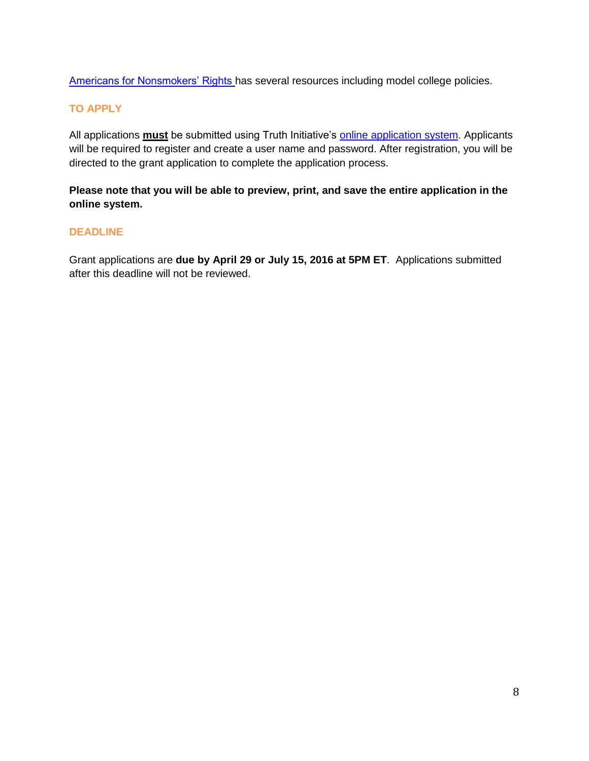[Americans for Nonsmokers' Rights](http://www.no-smoke.org/goingsmokefree.php?id=447) has several resources including model college policies.

### **TO APPLY**

All applications **must** be submitted using Truth Initiative's **online application system**. Applicants will be required to register and create a user name and password. After registration, you will be directed to the grant application to complete the application process.

# **Please note that you will be able to preview, print, and save the entire application in the online system.**

### **DEADLINE**

Grant applications are **due by April 29 or July 15, 2016 at 5PM ET**. Applications submitted after this deadline will not be reviewed.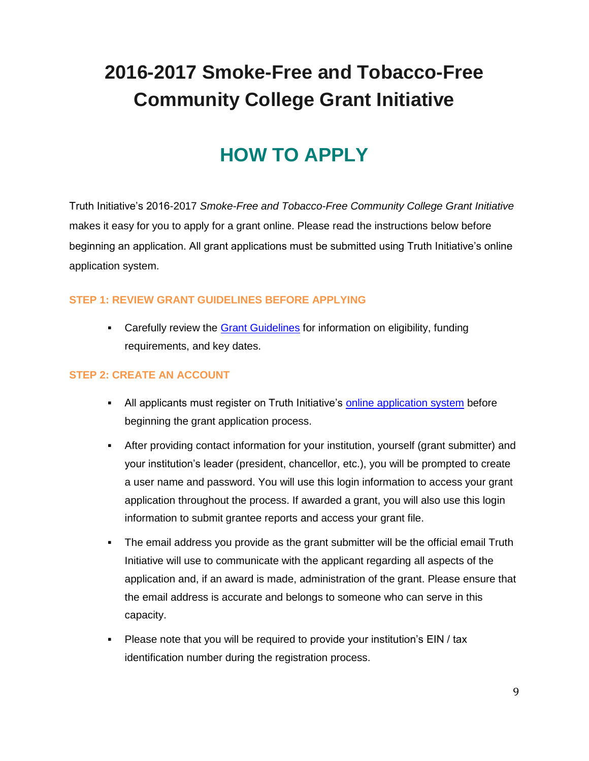# **HOW TO APPLY**

Truth Initiative's 2016-2017 *Smoke-Free and Tobacco-Free Community College Grant Initiative* makes it easy for you to apply for a grant online. Please read the instructions below before beginning an application. All grant applications must be submitted using Truth Initiative's online application system.

### **STEP 1: REVIEW GRANT GUIDELINES BEFORE APPLYING**

• Carefully review the [Grant Guidelines](http://www.truthinitiative.org/) for information on eligibility, funding requirements, and key dates.

### **STEP 2: CREATE AN ACCOUNT**

- All applicants must register on Truth Initiative's [online application system](https://www.grantinterface.com/Common/LogOn.aspx?eqs=rnkDWlzN7QRD_gh9zfTT2kH3ytmpVdco0) before beginning the grant application process.
- After providing contact information for your institution, yourself (grant submitter) and your institution's leader (president, chancellor, etc.), you will be prompted to create a user name and password. You will use this login information to access your grant application throughout the process. If awarded a grant, you will also use this login information to submit grantee reports and access your grant file.
- The email address you provide as the grant submitter will be the official email Truth Initiative will use to communicate with the applicant regarding all aspects of the application and, if an award is made, administration of the grant. Please ensure that the email address is accurate and belongs to someone who can serve in this capacity.
- Please note that you will be required to provide your institution's EIN / tax identification number during the registration process.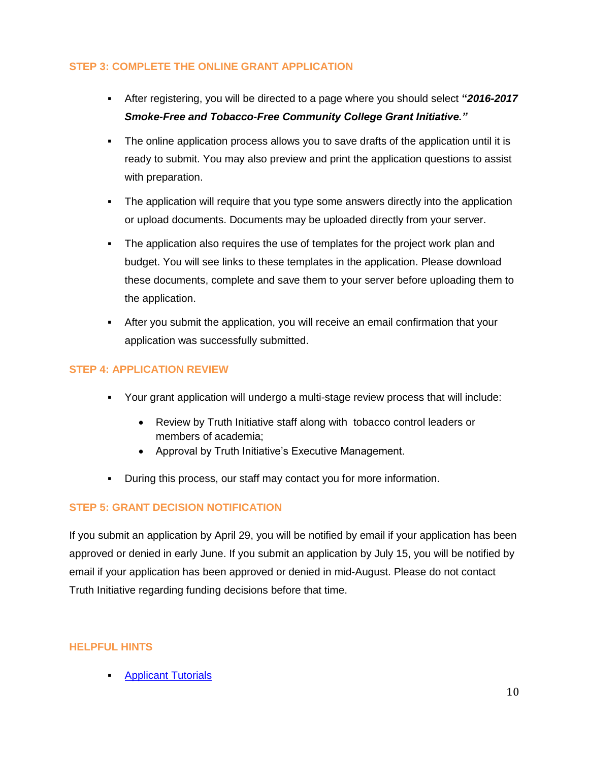# **STEP 3: COMPLETE THE ONLINE GRANT APPLICATION**

- After registering, you will be directed to a page where you should select **"***2016-2017 Smoke-Free and Tobacco-Free Community College Grant Initiative."*
- The online application process allows you to save drafts of the application until it is ready to submit. You may also preview and print the application questions to assist with preparation.
- The application will require that you type some answers directly into the application or upload documents. Documents may be uploaded directly from your server.
- The application also requires the use of templates for the project work plan and budget. You will see links to these templates in the application. Please download these documents, complete and save them to your server before uploading them to the application.
- After you submit the application, you will receive an email confirmation that your application was successfully submitted.

### **STEP 4: APPLICATION REVIEW**

- Your grant application will undergo a multi-stage review process that will include:
	- Review by Truth Initiative staff along with tobacco control leaders or members of academia;
	- Approval by Truth Initiative's Executive Management.
- During this process, our staff may contact you for more information.

# **STEP 5: GRANT DECISION NOTIFICATION**

If you submit an application by April 29, you will be notified by email if your application has been approved or denied in early June. If you submit an application by July 15, you will be notified by email if your application has been approved or denied in mid-August. Please do not contact Truth Initiative regarding funding decisions before that time.

### **HELPFUL HINTS**

[Applicant Tutorials](https://community.foundant.com/foundant/topics/training_video_applicant_tutorials)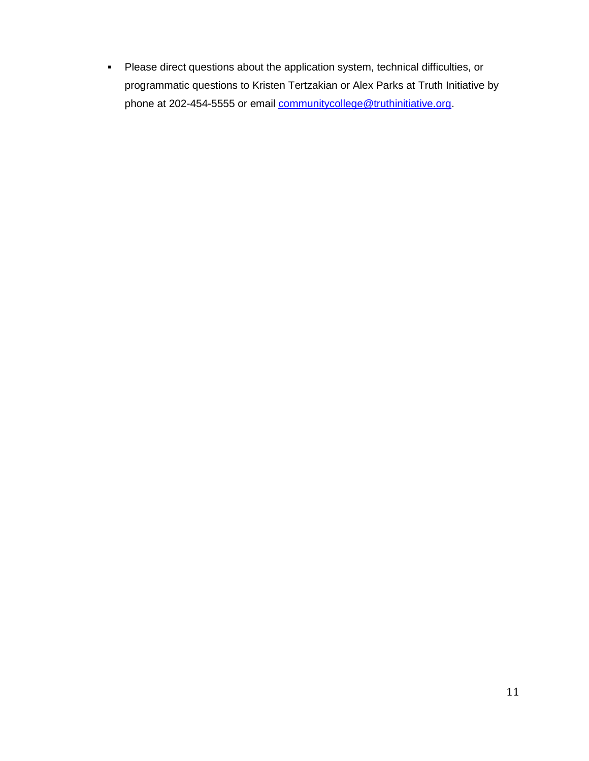Please direct questions about the application system, technical difficulties, or programmatic questions to Kristen Tertzakian or Alex Parks at Truth Initiative by phone at 202-454-5555 or email [communitycollege@truthinitiative.org.](mailto:communitycollege@truthinitiative.org)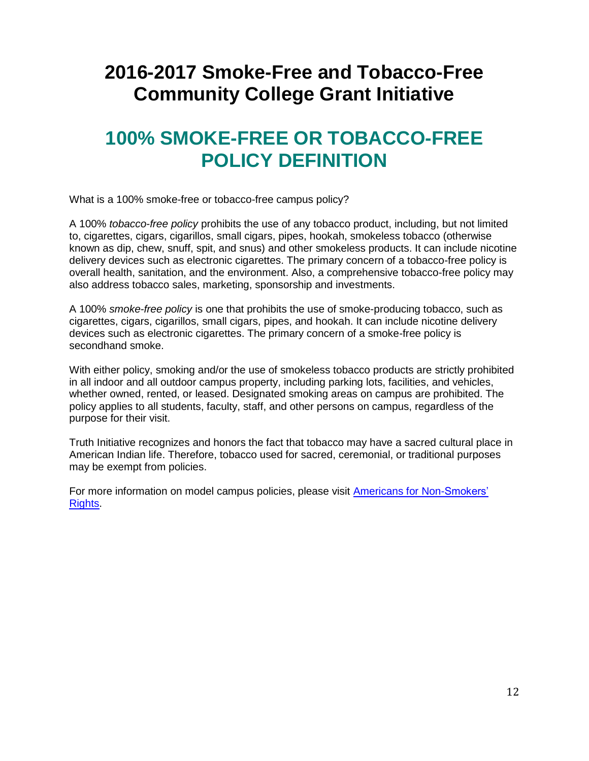# **100% SMOKE-FREE OR TOBACCO-FREE POLICY DEFINITION**

What is a 100% smoke-free or tobacco-free campus policy?

A 100% *tobacco-free policy* prohibits the use of any tobacco product, including, but not limited to, cigarettes, cigars, cigarillos, small cigars, pipes, hookah, smokeless tobacco (otherwise known as dip, chew, snuff, spit, and snus) and other smokeless products. It can include nicotine delivery devices such as electronic cigarettes. The primary concern of a tobacco-free policy is overall health, sanitation, and the environment. Also, a comprehensive tobacco-free policy may also address tobacco sales, marketing, sponsorship and investments.

A 100% *smoke-free policy* is one that prohibits the use of smoke-producing tobacco, such as cigarettes, cigars, cigarillos, small cigars, pipes, and hookah. It can include nicotine delivery devices such as electronic cigarettes. The primary concern of a smoke-free policy is secondhand smoke.

With either policy, smoking and/or the use of smokeless tobacco products are strictly prohibited in all indoor and all outdoor campus property, including parking lots, facilities, and vehicles, whether owned, rented, or leased. Designated smoking areas on campus are prohibited. The policy applies to all students, faculty, staff, and other persons on campus, regardless of the purpose for their visit.

Truth Initiative recognizes and honors the fact that tobacco may have a sacred cultural place in American Indian life. Therefore, tobacco used for sacred, ceremonial, or traditional purposes may be exempt from policies.

For more information on model campus policies, please visit **Americans for Non-Smokers' Rights**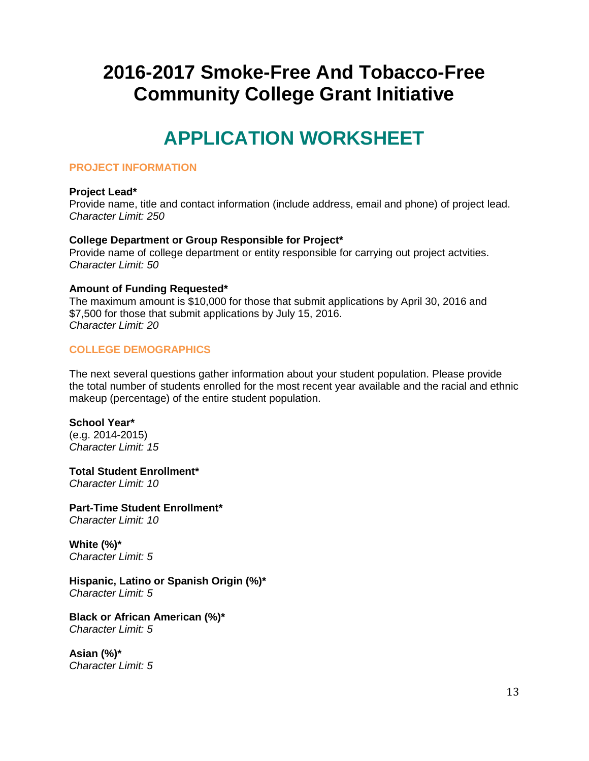# **APPLICATION WORKSHEET**

### **PROJECT INFORMATION**

### **Project Lead\***

Provide name, title and contact information (include address, email and phone) of project lead. *Character Limit: 250*

### **College Department or Group Responsible for Project\***

Provide name of college department or entity responsible for carrying out project actvities. *Character Limit: 50*

### **Amount of Funding Requested\***

The maximum amount is \$10,000 for those that submit applications by April 30, 2016 and \$7,500 for those that submit applications by July 15, 2016. *Character Limit: 20*

### **COLLEGE DEMOGRAPHICS**

The next several questions gather information about your student population. Please provide the total number of students enrolled for the most recent year available and the racial and ethnic makeup (percentage) of the entire student population.

### **School Year\***

(e.g. 2014-2015) *Character Limit: 15*

**Total Student Enrollment\*** *Character Limit: 10*

**Part-Time Student Enrollment\*** *Character Limit: 10*

**White (%)\*** *Character Limit: 5*

**Hispanic, Latino or Spanish Origin (%)\*** *Character Limit: 5*

**Black or African American (%)\*** *Character Limit: 5*

**Asian (%)\*** *Character Limit: 5*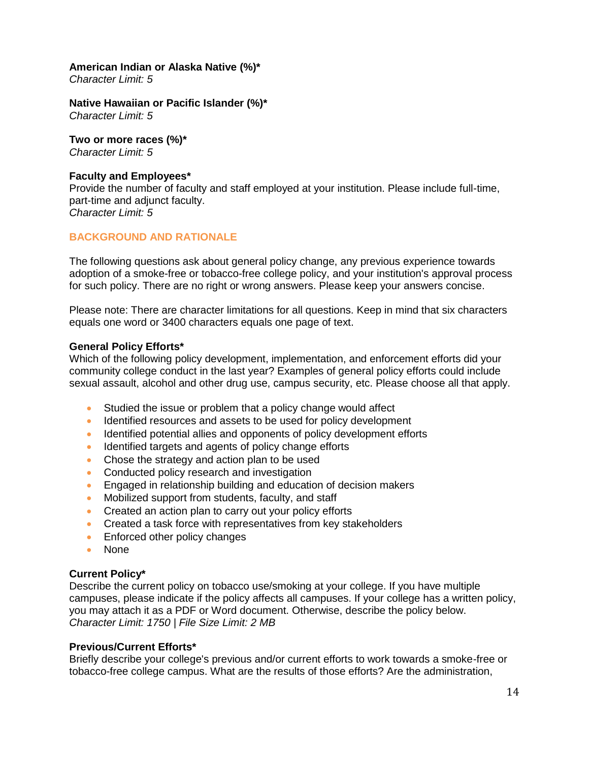### **American Indian or Alaska Native (%)\***

*Character Limit: 5*

**Native Hawaiian or Pacific Islander (%)\*** *Character Limit: 5*

**Two or more races (%)\*** *Character Limit: 5*

#### **Faculty and Employees\***

Provide the number of faculty and staff employed at your institution. Please include full-time, part-time and adjunct faculty. *Character Limit: 5*

### **BACKGROUND AND RATIONALE**

The following questions ask about general policy change, any previous experience towards adoption of a smoke-free or tobacco-free college policy, and your institution's approval process for such policy. There are no right or wrong answers. Please keep your answers concise.

Please note: There are character limitations for all questions. Keep in mind that six characters equals one word or 3400 characters equals one page of text.

### **General Policy Efforts\***

Which of the following policy development, implementation, and enforcement efforts did your community college conduct in the last year? Examples of general policy efforts could include sexual assault, alcohol and other drug use, campus security, etc. Please choose all that apply.

- Studied the issue or problem that a policy change would affect
- Identified resources and assets to be used for policy development
- Identified potential allies and opponents of policy development efforts
- Identified targets and agents of policy change efforts
- Chose the strategy and action plan to be used
- Conducted policy research and investigation
- **Engaged in relationship building and education of decision makers**
- Mobilized support from students, faculty, and staff
- Created an action plan to carry out your policy efforts
- Created a task force with representatives from key stakeholders
- **Enforced other policy changes**
- None

### **Current Policy\***

Describe the current policy on tobacco use/smoking at your college. If you have multiple campuses, please indicate if the policy affects all campuses. If your college has a written policy, you may attach it as a PDF or Word document. Otherwise, describe the policy below. *Character Limit: 1750 | File Size Limit: 2 MB*

#### **Previous/Current Efforts\***

Briefly describe your college's previous and/or current efforts to work towards a smoke-free or tobacco-free college campus. What are the results of those efforts? Are the administration,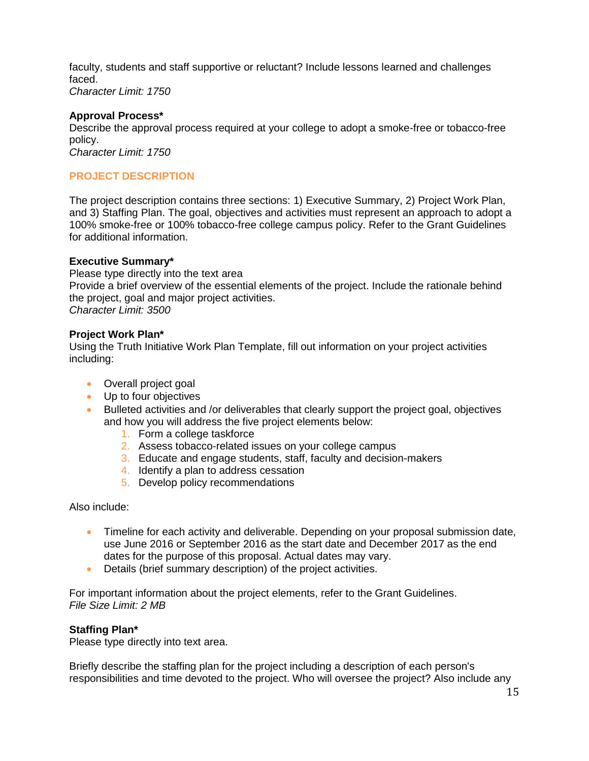faculty, students and staff supportive or reluctant? Include lessons learned and challenges faced. *Character Limit: 1750*

### **Approval Process\***

Describe the approval process required at your college to adopt a smoke-free or tobacco-free policy.

*Character Limit: 1750*

### **PROJECT DESCRIPTION**

The project description contains three sections: 1) Executive Summary, 2) Project Work Plan, and 3) Staffing Plan. The goal, objectives and activities must represent an approach to adopt a 100% smoke-free or 100% tobacco-free college campus policy. Refer to the Grant Guidelines for additional information.

### **Executive Summary\***

Please type directly into the text area Provide a brief overview of the essential elements of the project. Include the rationale behind the project, goal and major project activities. *Character Limit: 3500*

### **Project Work Plan\***

Using the Truth Initiative Work Plan Template, fill out information on your project activities including:

- Overall project goal
- Up to four objectives
- Bulleted activities and /or deliverables that clearly support the project goal, objectives and how you will address the five project elements below:
	- 1. Form a college taskforce
	- 2. Assess tobacco-related issues on your college campus
	- 3. Educate and engage students, staff, faculty and decision-makers
	- 4. Identify a plan to address cessation
	- 5. Develop policy recommendations

Also include:

- Timeline for each activity and deliverable. Depending on your proposal submission date, use June 2016 or September 2016 as the start date and December 2017 as the end dates for the purpose of this proposal. Actual dates may vary.
- Details (brief summary description) of the project activities.

For important information about the project elements, refer to the Grant Guidelines. *File Size Limit: 2 MB*

### **Staffing Plan\***

Please type directly into text area.

Briefly describe the staffing plan for the project including a description of each person's responsibilities and time devoted to the project. Who will oversee the project? Also include any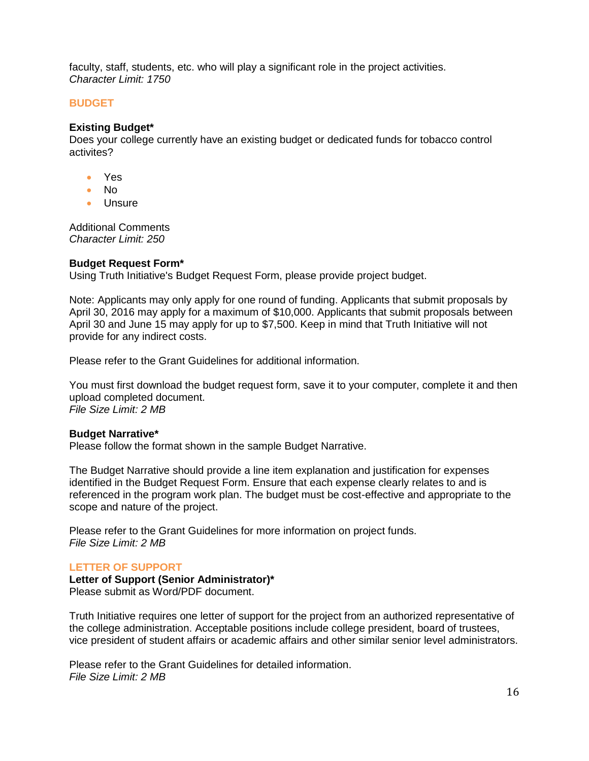faculty, staff, students, etc. who will play a significant role in the project activities. *Character Limit: 1750*

#### **BUDGET**

#### **Existing Budget\***

Does your college currently have an existing budget or dedicated funds for tobacco control activites?

- Yes
- No
- Unsure

Additional Comments *Character Limit: 250*

### **Budget Request Form\***

Using Truth Initiative's Budget Request Form, please provide project budget.

Note: Applicants may only apply for one round of funding. Applicants that submit proposals by April 30, 2016 may apply for a maximum of \$10,000. Applicants that submit proposals between April 30 and June 15 may apply for up to \$7,500. Keep in mind that Truth Initiative will not provide for any indirect costs.

Please refer to the Grant Guidelines for additional information.

You must first download the budget request form, save it to your computer, complete it and then upload completed document. *File Size Limit: 2 MB*

#### **Budget Narrative\***

Please follow the format shown in the sample Budget Narrative.

The Budget Narrative should provide a line item explanation and justification for expenses identified in the Budget Request Form. Ensure that each expense clearly relates to and is referenced in the program work plan. The budget must be cost-effective and appropriate to the scope and nature of the project.

Please refer to the Grant Guidelines for more information on project funds. *File Size Limit: 2 MB*

#### **LETTER OF SUPPORT**

**Letter of Support (Senior Administrator)\*** Please submit as Word/PDF document.

Truth Initiative requires one letter of support for the project from an authorized representative of the college administration. Acceptable positions include college president, board of trustees, vice president of student affairs or academic affairs and other similar senior level administrators.

Please refer to the Grant Guidelines for detailed information. *File Size Limit: 2 MB*